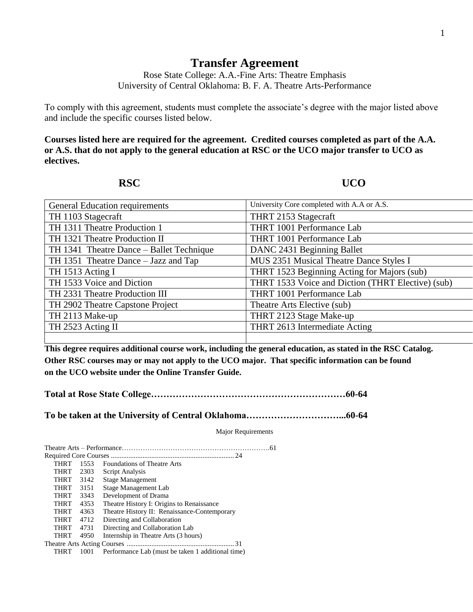## **Transfer Agreement**

Rose State College: A.A.-Fine Arts: Theatre Emphasis University of Central Oklahoma: B. F. A. Theatre Arts-Performance

To comply with this agreement, students must complete the associate's degree with the major listed above and include the specific courses listed below.

**Courses listed here are required for the agreement. Credited courses completed as part of the A.A. or A.S. that do not apply to the general education at RSC or the UCO major transfer to UCO as electives.**

**RSC UCO** 

| <b>General Education requirements</b>    | University Core completed with A.A or A.S.        |
|------------------------------------------|---------------------------------------------------|
| TH 1103 Stagecraft                       | THRT 2153 Stagecraft                              |
| TH 1311 Theatre Production 1             | THRT 1001 Performance Lab                         |
| TH 1321 Theatre Production II            | THRT 1001 Performance Lab                         |
| TH 1341 Theatre Dance – Ballet Technique | DANC 2431 Beginning Ballet                        |
| TH 1351 Theatre Dance – Jazz and Tap     | MUS 2351 Musical Theatre Dance Styles I           |
| TH 1513 Acting I                         | THRT 1523 Beginning Acting for Majors (sub)       |
| TH 1533 Voice and Diction                | THRT 1533 Voice and Diction (THRT Elective) (sub) |
| TH 2331 Theatre Production III           | THRT 1001 Performance Lab                         |
| TH 2902 Theatre Capstone Project         | Theatre Arts Elective (sub)                       |
| TH 2113 Make-up                          | THRT 2123 Stage Make-up                           |
| TH 2523 Acting II                        | THRT 2613 Intermediate Acting                     |
|                                          |                                                   |

**This degree requires additional course work, including the general education, as stated in the RSC Catalog. Other RSC courses may or may not apply to the UCO major. That specific information can be found on the UCO website under the Online Transfer Guide.**

**Total at Rose State College………………………………………………………60-64**

**To be taken at the University of Central Oklahoma…………………………...60-64**

Major Requirements

| <b>THRT</b> | 1553 | <b>Foundations of Theatre Arts</b>                |
|-------------|------|---------------------------------------------------|
| <b>THRT</b> | 2303 | Script Analysis                                   |
| <b>THRT</b> | 3142 | Stage Management                                  |
| <b>THRT</b> | 3151 | Stage Management Lab                              |
| <b>THRT</b> | 3343 | Development of Drama                              |
| <b>THRT</b> | 4353 | Theatre History I: Origins to Renaissance         |
| <b>THRT</b> | 4363 | Theatre History II: Renaissance-Contemporary      |
| <b>THRT</b> | 4712 | Directing and Collaboration                       |
| <b>THRT</b> | 4731 | Directing and Collaboration Lab                   |
| <b>THRT</b> | 4950 | Internship in Theatre Arts (3 hours)              |
|             |      |                                                   |
| THRT        | 1001 | Performance Lab (must be taken 1 additional time) |